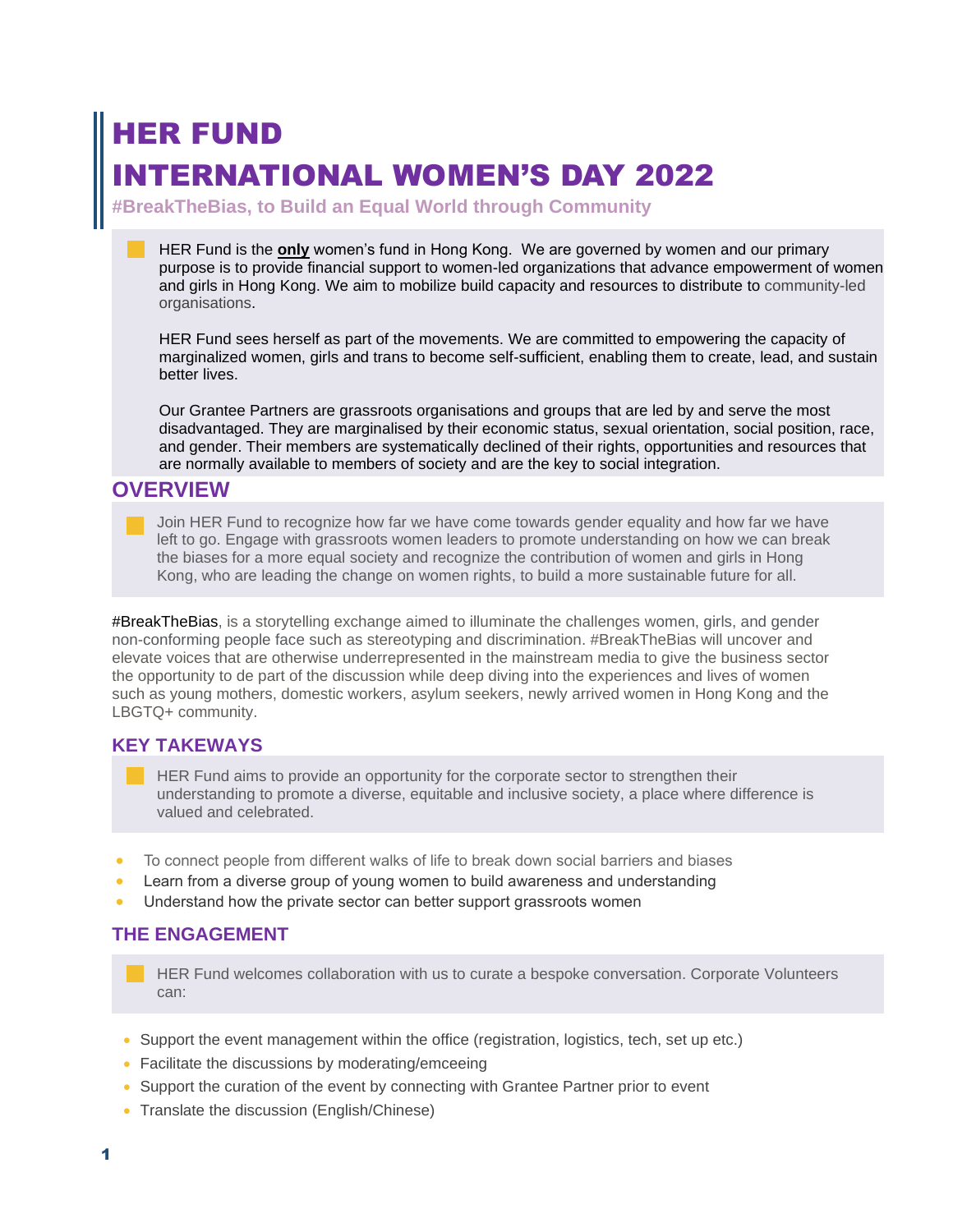# HER FUND **TERNATIONAL WOMEN'S DAY 2022**

**#BreakTheBias, to Build an Equal World through Community**

HER Fund is the **only** women's fund in Hong Kong. We are governed by women and our primary purpose is to provide financial support to women-led organizations that advance empowerment of women and girls in Hong Kong. We aim to mobilize build capacity and resources to distribute to community-led organisations.

HER Fund sees herself as part of the movements. We are committed to empowering the capacity of marginalized women, girls and trans to become self-sufficient, enabling them to create, lead, and sustain better lives.

Our Grantee Partners are grassroots organisations and groups that are led by and serve the most disadvantaged. They are marginalised by their economic status, sexual orientation, social position, race, and gender. Their members are systematically declined of their rights, opportunities and resources that are normally available to members of society and are the key to social integration.

## **OVERVIEW**

Join HER Fund to recognize how far we have come towards gender equality and how far we have left to go. Engage with grassroots women leaders to promote understanding on how we can break the biases for a more equal society and recognize the contribution of women and girls in Hong Kong, who are leading the change on women rights, to build a more sustainable future for all.

#BreakTheBias, is a storytelling exchange aimed to illuminate the challenges women, girls, and gender non-conforming people face such as stereotyping and discrimination. #BreakTheBias will uncover and elevate voices that are otherwise underrepresented in the mainstream media to give the business sector the opportunity to de part of the discussion while deep diving into the experiences and lives of women such as young mothers, domestic workers, asylum seekers, newly arrived women in Hong Kong and the LBGTQ+ community.

## **KEY TAKEWAYS**

HER Fund aims to provide an opportunity for the corporate sector to strengthen their understanding to promote a diverse, equitable and inclusive society, a place where difference is valued and celebrated.

- To connect people from different walks of life to break down social barriers and biases
- Learn from a diverse group of young women to build awareness and understanding
- Understand how the private sector can better support grassroots women

### **THE ENGAGEMENT**

HER Fund welcomes collaboration with us to curate a bespoke conversation. Corporate Volunteers can:

- Support the event management within the office (registration, logistics, tech, set up etc.)
- Facilitate the discussions by moderating/emceeing
- Support the curation of the event by connecting with Grantee Partner prior to event
- Translate the discussion (English/Chinese)